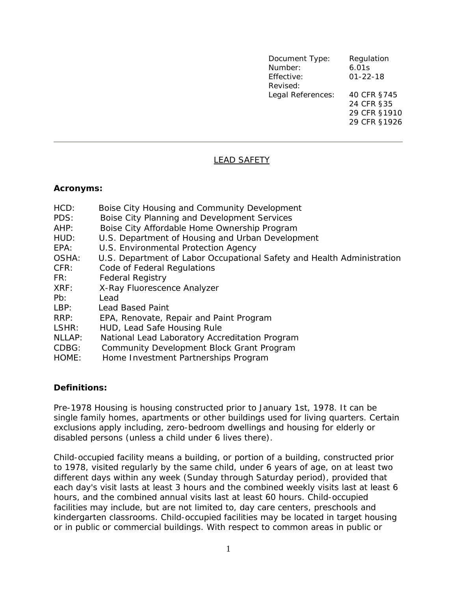| Document Type:    | Regulation     |
|-------------------|----------------|
| Number:           | 6.01s          |
| Effective:        | $01 - 22 - 18$ |
| Revised:          |                |
| Legal References: | 40 CFR §745    |
|                   | 24 CFR §35     |
|                   | 29 CFR §1910   |
|                   | 29 CFR §1926   |
|                   |                |

# LEAD SAFETY

#### **Acronyms:**

| HCD:<br>PDS: | Boise City Housing and Community Development<br>Boise City Planning and Development Services |
|--------------|----------------------------------------------------------------------------------------------|
| AHP:         | Boise City Affordable Home Ownership Program                                                 |
| HUD:         | U.S. Department of Housing and Urban Development                                             |
| EPA:         | U.S. Environmental Protection Agency                                                         |
| OSHA:        | U.S. Department of Labor Occupational Safety and Health Administration                       |
| CFR:         | Code of Federal Regulations                                                                  |
| FR:          | <b>Federal Registry</b>                                                                      |
| XRF:         | X-Ray Fluorescence Analyzer                                                                  |
| Pb:          | Lead                                                                                         |
| LBP:         | <b>Lead Based Paint</b>                                                                      |
| RRP:         | EPA, Renovate, Repair and Paint Program                                                      |
| LSHR:        | HUD, Lead Safe Housing Rule                                                                  |
| NLLAP:       | National Lead Laboratory Accreditation Program                                               |
| CDBG:        | Community Development Block Grant Program                                                    |
| HOME:        | Home Investment Partnerships Program                                                         |

#### **Definitions:**

*Pre-1978 Housing* is housing constructed prior to January 1st, 1978. It can be single family homes, apartments or other buildings used for living quarters. Certain exclusions apply including, zero-bedroom dwellings and housing for elderly or disabled persons (unless a child under 6 lives there).

*Child-occupied facility* means a building, or portion of a building, constructed prior to 1978, visited regularly by the same child, under 6 years of age, on at least two different days within any week (Sunday through Saturday period), provided that each day's visit lasts at least 3 hours and the combined weekly visits last at least 6 hours, and the combined annual visits last at least 60 hours. Child-occupied facilities may include, but are not limited to, day care centers, preschools and kindergarten classrooms. Child-occupied facilities may be located in target housing or in public or commercial buildings. With respect to common areas in public or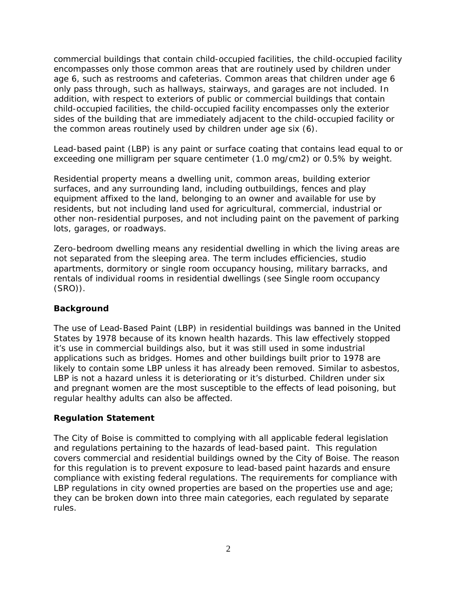commercial buildings that contain child-occupied facilities, the child-occupied facility encompasses only those common areas that are routinely used by children under age 6, such as restrooms and cafeterias. Common areas that children under age 6 only pass through, such as hallways, stairways, and garages are not included. In addition, with respect to exteriors of public or commercial buildings that contain child-occupied facilities, the child-occupied facility encompasses only the exterior sides of the building that are immediately adjacent to the child-occupied facility or the common areas routinely used by children under age six (6).

*Lead-based paint* (LBP) is any paint or surface coating that contains lead equal to or exceeding one milligram per square centimeter (1.0 mg/cm2) or 0.5% by weight.

*Residential property* means a dwelling unit, common areas, building exterior surfaces, and any surrounding land, including outbuildings, fences and play equipment affixed to the land, belonging to an owner and available for use by residents, but not including land used for agricultural, commercial, industrial or other non-residential purposes, and not including paint on the pavement of parking lots, garages, or roadways.

*Zero-bedroom dwelling* means any residential dwelling in which the living areas are not separated from the sleeping area. The term includes efficiencies, studio apartments, dormitory or single room occupancy housing, military barracks, and rentals of individual rooms in residential dwellings (see Single room occupancy (SRO)).

#### **Background**

The use of Lead-Based Paint (LBP) in residential buildings was banned in the United States by 1978 because of its known health hazards. This law effectively stopped it's use in commercial buildings also, but it was still used in some industrial applications such as bridges. Homes and other buildings built prior to 1978 are likely to contain some LBP unless it has already been removed. Similar to asbestos, LBP is not a hazard unless it is deteriorating or it's disturbed. Children under six and pregnant women are the most susceptible to the effects of lead poisoning, but regular healthy adults can also be affected.

#### **Regulation Statement**

The City of Boise is committed to complying with all applicable federal legislation and regulations pertaining to the hazards of lead-based paint. This regulation covers commercial and residential buildings owned by the City of Boise. The reason for this regulation is to prevent exposure to lead-based paint hazards and ensure compliance with existing federal regulations. The requirements for compliance with LBP regulations in city owned properties are based on the properties use and age; they can be broken down into three main categories, each regulated by separate rules.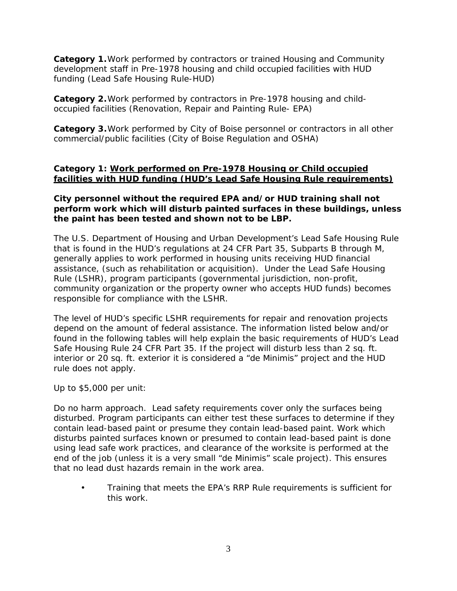**Category 1.**Work performed by contractors or trained Housing and Community development staff in Pre-1978 housing and child occupied facilities with HUD funding (Lead Safe Housing Rule-HUD)

**Category 2.**Work performed by contractors in Pre-1978 housing and childoccupied facilities (Renovation, Repair and Painting Rule- EPA)

**Category 3.**Work performed by City of Boise personnel or contractors in all other commercial/public facilities (City of Boise Regulation and OSHA)

### **Category 1: Work performed on Pre-1978 Housing or Child occupied facilities with HUD funding (HUD's Lead Safe Housing Rule requirements)**

### **City personnel without the required EPA and/or HUD training shall not perform work which will disturb painted surfaces in these buildings, unless the paint has been tested and shown not to be LBP.**

The U.S. Department of Housing and Urban Development's Lead Safe Housing Rule that is found in the HUD's regulations at 24 CFR Part 35, Subparts B through M, generally applies to work performed in housing units receiving HUD financial assistance, (such as rehabilitation or acquisition). Under the Lead Safe Housing Rule (LSHR), program participants (governmental jurisdiction, non-profit, community organization or the property owner who accepts HUD funds) becomes responsible for compliance with the LSHR.

The level of HUD's specific LSHR requirements for repair and renovation projects depend on the amount of federal assistance. The information listed below and/or found in the following tables will help explain the basic requirements of HUD's Lead Safe Housing Rule 24 CFR Part 35. If the project will disturb less than 2 sq. ft. interior or 20 sq. ft. exterior it is considered a "de Minimis" project and the HUD rule does not apply.

Up to \$5,000 per unit:

Do no harm approach. Lead safety requirements cover only the surfaces being disturbed. Program participants can either test these surfaces to determine if they contain lead-based paint or presume they contain lead-based paint. Work which disturbs painted surfaces known or presumed to contain lead-based paint is done using lead safe work practices, and clearance of the worksite is performed at the end of the job (unless it is a very small "de Minimis" scale project). This ensures that no lead dust hazards remain in the work area.

• Training that meets the EPA's RRP Rule requirements is sufficient for this work.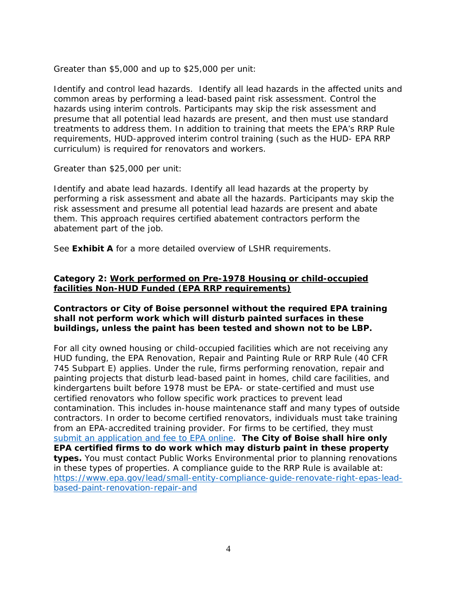Greater than \$5,000 and up to \$25,000 per unit:

Identify and control lead hazards. Identify all lead hazards in the affected units and common areas by performing a lead-based paint risk assessment. Control the hazards using interim controls. Participants may skip the risk assessment and presume that all potential lead hazards are present, and then must use standard treatments to address them. In addition to training that meets the EPA's RRP Rule requirements, HUD-approved interim control training (such as the HUD- EPA RRP curriculum) is required for renovators and workers.

Greater than \$25,000 per unit:

Identify and abate lead hazards. Identify all lead hazards at the property by performing a risk assessment and abate all the hazards. Participants may skip the risk assessment and presume all potential lead hazards are present and abate them. This approach requires certified abatement contractors perform the abatement part of the job.

See **Exhibit A** for a more detailed overview of LSHR requirements.

# **Category 2: Work performed on Pre-1978 Housing or child-occupied facilities Non-HUD Funded (EPA RRP requirements)**

# **Contractors or City of Boise personnel without the required EPA training shall not perform work which will disturb painted surfaces in these buildings, unless the paint has been tested and shown not to be LBP.**

For all city owned housing or child-occupied facilities which are not receiving any HUD funding, the EPA Renovation, Repair and Painting Rule or RRP Rule (40 CFR 745 Subpart E) applies. Under the rule, firms performing renovation, repair and painting projects that disturb lead-based paint in homes, child care facilities, and kindergartens built before 1978 must be EPA- or state-certified and must use certified renovators who follow specific work practices to prevent lead contamination. This includes in-house maintenance staff and many types of outside contractors. In order to become certified renovators, individuals must take training from an EPA-accredited training provider. For firms to be certified, they must [submit an application and fee to EPA online.](https://www.epa.gov/lead/getcertified) **The City of Boise shall hire only EPA certified firms to do work which may disturb paint in these property types.** You must contact Public Works Environmental prior to planning renovations in these types of properties. A compliance guide to the RRP Rule is available at: [https://www.epa.gov/lead/small-entity-compliance-guide-renovate-right-epas-lead](https://www.epa.gov/lead/small-entity-compliance-guide-renovate-right-epas-lead-based-paint-renovation-repair-and)[based-paint-renovation-repair-and](https://www.epa.gov/lead/small-entity-compliance-guide-renovate-right-epas-lead-based-paint-renovation-repair-and)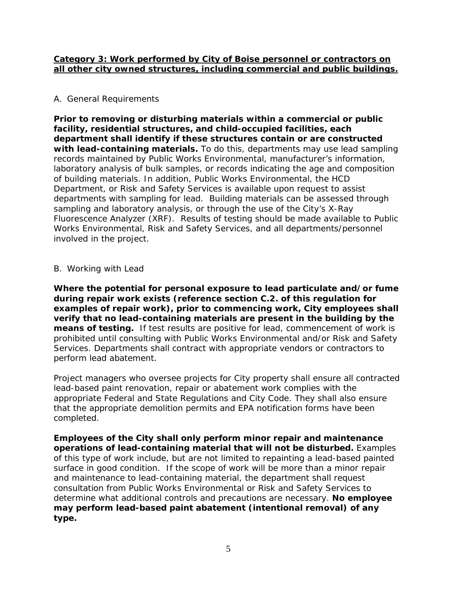#### **Category 3: Work performed by City of Boise personnel or contractors on all other city owned structures, including commercial and public buildings.**

### A. General Requirements

**Prior to removing or disturbing materials within a commercial or public facility, residential structures, and child-occupied facilities, each department shall identify if these structures contain or are constructed with lead-containing materials.** To do this, departments may use lead sampling records maintained by Public Works Environmental, manufacturer's information, laboratory analysis of bulk samples, or records indicating the age and composition of building materials. In addition, Public Works Environmental, the HCD Department, or Risk and Safety Services is available upon request to assist departments with sampling for lead. Building materials can be assessed through sampling and laboratory analysis, or through the use of the City's X-Ray Fluorescence Analyzer (XRF). Results of testing should be made available to Public Works Environmental, Risk and Safety Services, and all departments/personnel involved in the project.

# B. Working with Lead

**Where the potential for personal exposure to lead particulate and/or fume during repair work exists (reference section C.2. of this regulation for examples of repair work), prior to commencing work, City employees shall verify that no lead-containing materials are present in the building by the means of testing.** If test results are positive for lead, commencement of work is prohibited until consulting with Public Works Environmental and/or Risk and Safety Services. Departments shall contract with appropriate vendors or contractors to perform lead abatement.

Project managers who oversee projects for City property shall ensure all contracted lead-based paint renovation, repair or abatement work complies with the appropriate Federal and State Regulations and City Code. They shall also ensure that the appropriate demolition permits and EPA notification forms have been completed.

**Employees of the City shall only perform minor repair and maintenance operations of lead-containing material that will not be disturbed.** Examples of this type of work include, but are not limited to repainting a lead-based painted surface in good condition. If the scope of work will be more than a minor repair and maintenance to lead-containing material, the department shall request consultation from Public Works Environmental or Risk and Safety Services to determine what additional controls and precautions are necessary. **No employee may perform lead-based paint abatement (intentional removal) of any type.**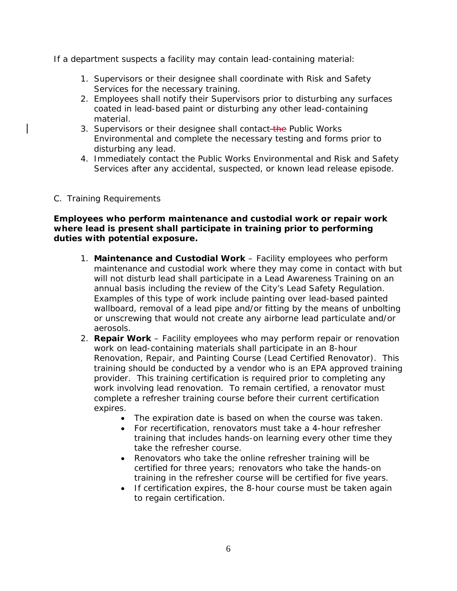If a department suspects a facility may contain lead-containing material:

- 1. Supervisors or their designee shall coordinate with Risk and Safety Services for the necessary training.
- 2. Employees shall notify their Supervisors prior to disturbing any surfaces coated in lead-based paint or disturbing any other lead-containing material.
- 3. Supervisors or their designee shall contact-the Public Works Environmental and complete the necessary testing and forms prior to disturbing any lead.
- 4. Immediately contact the Public Works Environmental and Risk and Safety Services after any accidental, suspected, or known lead release episode.

# C. Training Requirements

# **Employees who perform maintenance and custodial work or repair work where lead is present shall participate in training prior to performing duties with potential exposure.**

- 1. **Maintenance and Custodial Work** Facility employees who perform maintenance and custodial work where they may come in contact with but will not disturb lead shall participate in a Lead Awareness Training on an annual basis including the review of the City's Lead Safety Regulation. Examples of this type of work include painting over lead-based painted wallboard, removal of a lead pipe and/or fitting by the means of unbolting or unscrewing that would not create any airborne lead particulate and/or aerosols.
- 2. **Repair Work** Facility employees who may perform repair or renovation work on lead-containing materials shall participate in an 8-hour Renovation, Repair, and Painting Course (Lead Certified Renovator). This training should be conducted by a vendor who is an EPA approved training provider. This training certification is required prior to completing any work involving lead renovation. To remain certified, a renovator must complete a refresher training course before their current certification expires.
	- The expiration date is based on when the course was taken.
	- For recertification, renovators must take a 4-hour refresher training that includes hands-on learning every other time they take the refresher course.
	- Renovators who take the online refresher training will be certified for three years; renovators who take the hands-on training in the refresher course will be certified for five years.
	- If certification expires, the 8-hour course must be taken again to regain certification.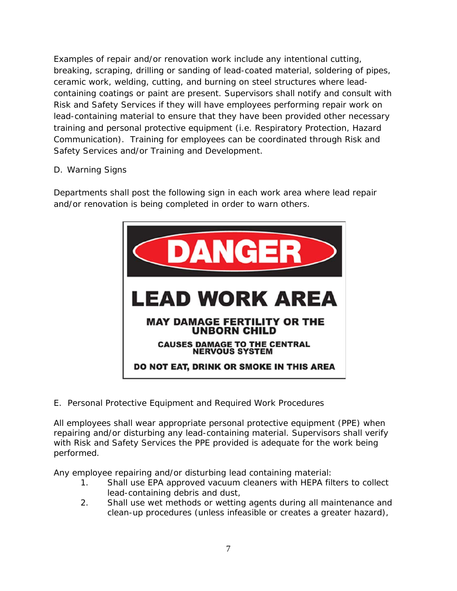Examples of repair and/or renovation work include any intentional cutting, breaking, scraping, drilling or sanding of lead-coated material, soldering of pipes, ceramic work, welding, cutting, and burning on steel structures where leadcontaining coatings or paint are present. Supervisors shall notify and consult with Risk and Safety Services if they will have employees performing repair work on lead-containing material to ensure that they have been provided other necessary training and personal protective equipment (i.e. Respiratory Protection, Hazard Communication). Training for employees can be coordinated through Risk and Safety Services and/or Training and Development.

# D. Warning Signs

Departments shall post the following sign in each work area where lead repair and/or renovation is being completed in order to warn others.



E. Personal Protective Equipment and Required Work Procedures

All employees shall wear appropriate personal protective equipment (PPE) when repairing and/or disturbing any lead-containing material. Supervisors shall verify with Risk and Safety Services the PPE provided is adequate for the work being performed.

Any employee repairing and/or disturbing lead containing material:

- 1. Shall use EPA approved vacuum cleaners with HEPA filters to collect lead-containing debris and dust,
- 2. Shall use wet methods or wetting agents during all maintenance and clean-up procedures (unless infeasible or creates a greater hazard),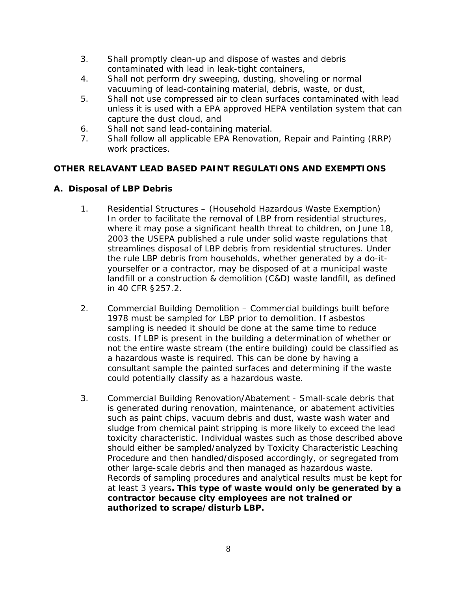- 3. Shall promptly clean-up and dispose of wastes and debris contaminated with lead in leak-tight containers,
- 4. Shall not perform dry sweeping, dusting, shoveling or normal vacuuming of lead-containing material, debris, waste, or dust,
- 5. Shall not use compressed air to clean surfaces contaminated with lead unless it is used with a EPA approved HEPA ventilation system that can capture the dust cloud, and
- 6. Shall not sand lead-containing material.
- 7. Shall follow all applicable EPA Renovation, Repair and Painting (RRP) work practices.

# **OTHER RELAVANT LEAD BASED PAINT REGULATIONS AND EXEMPTIONS**

# **A. Disposal of LBP Debris**

- 1. Residential Structures (Household Hazardous Waste Exemption) In order to facilitate the removal of LBP from residential structures, where it may pose a significant health threat to children, on June 18, 2003 the USEPA published a rule under solid waste regulations that streamlines disposal of LBP debris from residential structures. Under the rule LBP debris from households, whether generated by a do-ityourselfer or a contractor, may be disposed of at a municipal waste landfill or a construction & demolition (C&D) waste landfill, as defined in 40 CFR §257.2.
- 2. Commercial Building Demolition Commercial buildings built before 1978 must be sampled for LBP prior to demolition. If asbestos sampling is needed it should be done at the same time to reduce costs. If LBP is present in the building a determination of whether or not the entire waste stream (the entire building) could be classified as a hazardous waste is required. This can be done by having a consultant sample the painted surfaces and determining if the waste could potentially classify as a hazardous waste.
- 3. Commercial Building Renovation/Abatement Small-scale debris that is generated during renovation, maintenance, or abatement activities such as paint chips, vacuum debris and dust, waste wash water and sludge from chemical paint stripping is more likely to exceed the lead toxicity characteristic. Individual wastes such as those described above should either be sampled/analyzed by Toxicity Characteristic Leaching Procedure and then handled/disposed accordingly, or segregated from other large-scale debris and then managed as hazardous waste. Records of sampling procedures and analytical results must be kept for at least 3 years**. This type of waste would only be generated by a contractor because city employees are not trained or authorized to scrape/disturb LBP.**